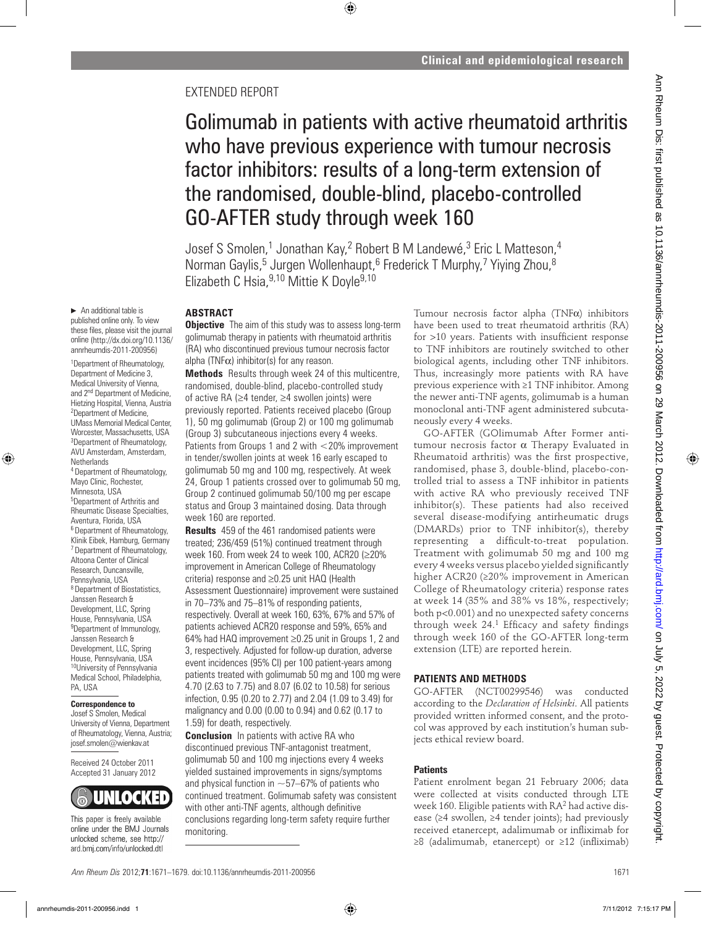## EXTENDED REPORT

# Golimumab in patients with active rheumatoid arthritis who have previous experience with tumour necrosis factor inhibitors: results of a long-term extension of the randomised, double-blind, placebo-controlled GO-AFTER study through week 160

Josef S Smolen,<sup>1</sup> Jonathan Kay,<sup>2</sup> Robert B M Landewé,<sup>3</sup> Eric L Matteson,<sup>4</sup> Norman Gaylis,<sup>5</sup> Jurgen Wollenhaupt,<sup>6</sup> Frederick T Murphy,7 Yiying Zhou,<sup>8</sup> Elizabeth C Hsia,  $9,10$  Mittie K Doyle  $9,10$ 

 $\blacktriangleright$  An additional table is published online only. To view these files, please visit the journal online (http://dx.doi.org/10.1136/ annrheumdis-2011-200956)

1 Department of Rheumatology, Department of Medicine 3, Medical University of Vienna, and 2nd Department of Medicine, Hietzing Hospital, Vienna, Austria 2 Department of Medicine, UMass Memorial Medical Center, Worcester, Massachusetts, USA 3 Department of Rheumatology, AVU Amsterdam, Amsterdam, **Netherlands** 4 Department of Rheumatology, Mayo Clinic, Rochester, Minnesota, USA 5 Department of Arthritis and Rheumatic Disease Specialties, Aventura, Florida, USA 6 Department of Rheumatology, Klinik Eibek, Hamburg, Germany 7 Department of Rheumatology, Altoona Center of Clinical Research, Duncansville, Pennsylvania, USA 8 Department of Biostatistics, Janssen Research & Development, LLC, Spring House, Pennsylvania, USA <sup>9</sup>Department of Immunology, Janssen Research & Development, LLC, Spring

House, Pennsylvania, USA 10University of Pennsylvania Medical School, Philadelphia, PA, USA

#### **Correspondence to**

Josef S Smolen, Medical University of Vienna, Department of Rheumatology, Vienna, Austria; josef.smolen@wienkav.at

Received 24 October 2011 Accepted 31 January 2012



This paper is freely available online under the BMJ Journals unlocked scheme, see http:// ard.bmj.com/info/unlocked.dtl

## **ABSTRACT**

**Objective** The aim of this study was to assess long-term golimumab therapy in patients with rheumatoid arthritis (RA) who discontinued previous tumour necrosis factor alpha (TNF $\alpha$ ) inhibitor(s) for any reason.

**Methods** Results through week 24 of this multicentre, randomised, double-blind, placebo-controlled study of active RA (≥4 tender, ≥4 swollen joints) were previously reported. Patients received placebo (Group 1), 50 mg golimumab (Group 2) or 100 mg golimumab (Group 3) subcutaneous injections every 4 weeks. Patients from Groups 1 and 2 with <20% improvement in tender/swollen joints at week 16 early escaped to golimumab 50 mg and 100 mg, respectively. At week 24, Group 1 patients crossed over to golimumab 50 mg, Group 2 continued golimumab 50/100 mg per escape status and Group 3 maintained dosing. Data through week 160 are reported.

**Results** 459 of the 461 randomised patients were treated; 236/459 (51%) continued treatment through week 160. From week 24 to week 100, ACR20 (≥20% improvement in American College of Rheumatology criteria) response and ≥0.25 unit HAQ (Health Assessment Questionnaire) improvement were sustained in 70–73% and 75–81% of responding patients, respectively. Overall at week 160, 63%, 67% and 57% of patients achieved ACR20 response and 59%, 65% and 64% had HAQ improvement ≥0.25 unit in Groups 1, 2 and 3, respectively. Adjusted for follow-up duration, adverse event incidences (95% CI) per 100 patient-years among patients treated with golimumab 50 mg and 100 mg were 4.70 (2.63 to 7.75) and 8.07 (6.02 to 10.58) for serious infection, 0.95 (0.20 to 2.77) and 2.04 (1.09 to 3.49) for malignancy and 0.00 (0.00 to 0.94) and 0.62 (0.17 to 1.59) for death, respectively.

**Conclusion** In patients with active RA who discontinued previous TNF-antagonist treatment, golimumab 50 and 100 mg injections every 4 weeks yielded sustained improvements in signs/symptoms and physical function in  $\sim$ 57–67% of patients who continued treatment. Golimumab safety was consistent with other anti-TNF agents, although definitive conclusions regarding long-term safety require further monitoring.

Tumour necrosis factor alpha (TNFα) inhibitors have been used to treat rheumatoid arthritis (RA) for  $>10$  years. Patients with insufficient response to TNF inhibitors are routinely switched to other biological agents, including other TNF inhibitors. Thus, increasingly more patients with RA have previous experience with ≥1 TNF inhibitor. Among the newer anti-TNF agents, golimumab is a human monoclonal anti-TNF agent administered subcutaneously every 4 weeks.

GO-AFTER (GOlimumab After Former antitumour necrosis factor  $\alpha$  Therapy Evaluated in Rheumatoid arthritis) was the first prospective, randomised, phase 3, double-blind, placebo-controlled trial to assess a TNF inhibitor in patients with active RA who previously received TNF inhibitor(s). These patients had also received several disease-modifying antirheumatic drugs (DMARDs) prior to TNF inhibitor(s), thereby representing a difficult-to-treat population. Treatment with golimumab 50 mg and 100 mg every 4 weeks versus placebo yielded significantly higher ACR20 (≥20% improvement in American College of Rheumatology criteria) response rates at week 14 (35% and 38% vs 18%, respectively; both p<0.001) and no unexpected safety concerns through week  $24<sup>1</sup>$  Efficacy and safety findings through week 160 of the GO-AFTER long-term extension (LTE) are reported herein.

## **PATIENTS AND METHODS**

GO-AFTER (NCT00299546) was conducted according to the *Declaration of Helsinki*. All patients provided written informed consent, and the protocol was approved by each institution's human subjects ethical review board.

## **Patients**

Patient enrolment began 21 February 2006; data were collected at visits conducted through LTE week 160. Eligible patients with RA2 had active disease (≥4 swollen, ≥4 tender joints); had previously received etanercept, adalimumab or infliximab for  $\geq$ 8 (adalimumab, etanercept) or  $\geq$ 12 (infliximab)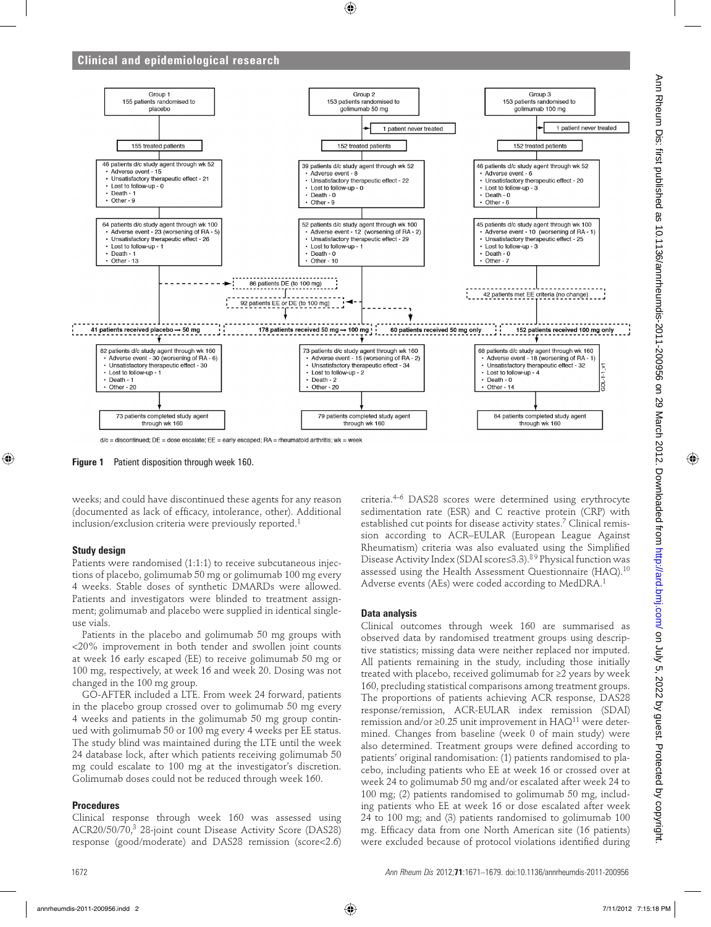

**Figure 1** Patient disposition through week 160.

weeks; and could have discontinued these agents for any reason (documented as lack of efficacy, intolerance, other). Additional inclusion/exclusion criteria were previously reported.1

#### **Study design**

Patients were randomised (1:1:1) to receive subcutaneous injections of placebo, golimumab 50 mg or golimumab 100 mg every 4 weeks. Stable doses of synthetic DMARDs were allowed. Patients and investigators were blinded to treatment assignment; golimumab and placebo were supplied in identical singleuse vials.

Patients in the placebo and golimumab 50 mg groups with <20% improvement in both tender and swollen joint counts at week 16 early escaped (EE) to receive golimumab 50 mg or 100 mg, respectively, at week 16 and week 20. Dosing was not changed in the 100 mg group.

GO-AFTER included a LTE. From week 24 forward, patients in the placebo group crossed over to golimumab 50 mg every 4 weeks and patients in the golimumab 50 mg group continued with golimumab 50 or 100 mg every 4 weeks per EE status. The study blind was maintained during the LTE until the week 24 database lock, after which patients receiving golimumab 50 mg could escalate to 100 mg at the investigator's discretion. Golimumab doses could not be reduced through week 160.

#### **Procedures**

Clinical response through week 160 was assessed using ACR20/50/70,3 28-joint count Disease Activity Score (DAS28) response (good/moderate) and DAS28 remission (score<2.6)

criteria.4–6 DAS28 scores were determined using erythrocyte sedimentation rate (ESR) and C reactive protein (CRP) with established cut points for disease activity states.<sup>7</sup> Clinical remission according to ACR–EULAR (European League Against Rheumatism) criteria was also evaluated using the Simplified Disease Activity Index (SDAI score≤3.3).8 9 Physical function was assessed using the Health Assessment Questionnaire (HAQ).<sup>10</sup> Adverse events (AEs) were coded according to MedDRA.1

#### **Data analysis**

Clinical outcomes through week 160 are summarised as observed data by randomised treatment groups using descriptive statistics; missing data were neither replaced nor imputed. All patients remaining in the study, including those initially treated with placebo, received golimumab for ≥2 years by week 160, precluding statistical comparisons among treatment groups. The proportions of patients achieving ACR response, DAS28 response/remission, ACR-EULAR index remission (SDAI) remission and/or ≥0.25 unit improvement in  $HAQ^{11}$  were determined. Changes from baseline (week 0 of main study) were also determined. Treatment groups were defined according to patients' original randomisation: (1) patients randomised to placebo, including patients who EE at week 16 or crossed over at week 24 to golimumab 50 mg and/or escalated after week 24 to 100 mg; (2) patients randomised to golimumab 50 mg, including patients who EE at week 16 or dose escalated after week 24 to 100 mg; and (3) patients randomised to golimumab 100 mg. Efficacy data from one North American site (16 patients) were excluded because of protocol violations identified during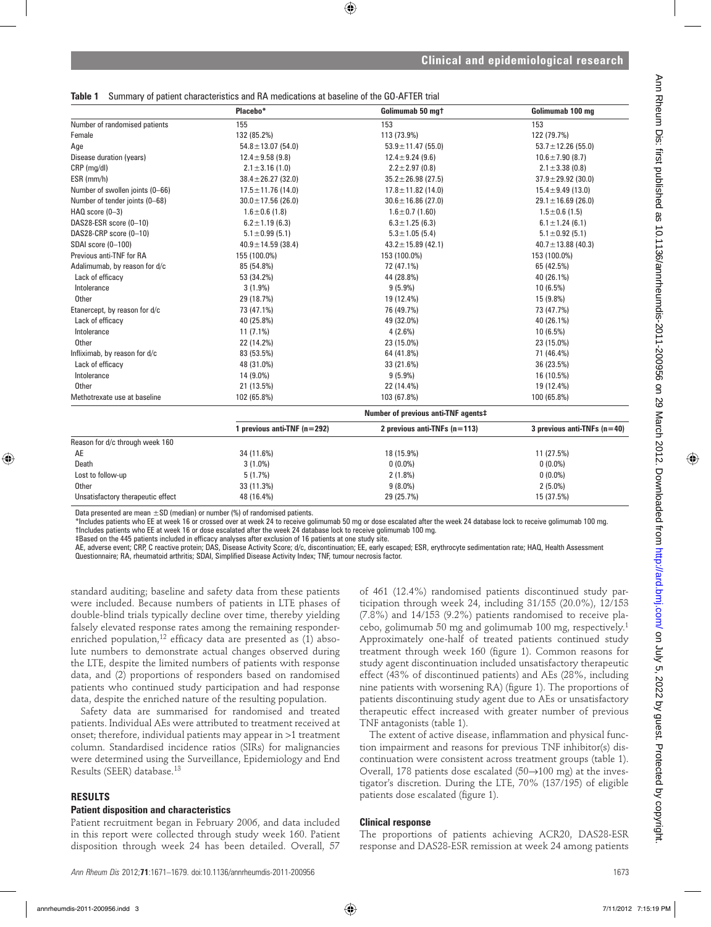## **Table 1** Summary of patient characteristics and RA medications at baseline of the GO-AFTER trial

|                                 | Placebo*                            | Golimumab 50 mgt                 | Golimumab 100 mg              |  |
|---------------------------------|-------------------------------------|----------------------------------|-------------------------------|--|
| Number of randomised patients   | 155                                 | 153                              | 153                           |  |
| Female                          | 132 (85.2%)                         | 113 (73.9%)                      | 122 (79.7%)                   |  |
| Age                             | $54.8 \pm 13.07$ (54.0)             | $53.9 \pm 11.47$ (55.0)          | $53.7 \pm 12.26$ (55.0)       |  |
| Disease duration (years)        | $12.4 \pm 9.58$ (9.8)               | $12.4 \pm 9.24$ (9.6)            | $10.6 \pm 7.90$ (8.7)         |  |
| CRP (mg/dl)                     | $2.1 \pm 3.16(1.0)$                 | $2.2 \pm 2.97$ (0.8)             | $2.1 \pm 3.38$ (0.8)          |  |
| ESR (mm/h)                      | $38.4 \pm 26.27$ (32.0)             | $35.2 \pm 26.98$ (27.5)          | $37.9 \pm 29.92$ (30.0)       |  |
| Number of swollen joints (0-66) | $17.5 \pm 11.76$ (14.0)             | $17.8 \pm 11.82$ (14.0)          | $15.4 \pm 9.49$ (13.0)        |  |
| Number of tender joints (0-68)  | $30.0 \pm 17.56$ (26.0)             | $30.6 \pm 16.86$ (27.0)          | $29.1 \pm 16.69$ (26.0)       |  |
| $HAQ score (0-3)$               | $1.6 \pm 0.6$ (1.8)                 | $1.6 \pm 0.7$ (1.60)             | $1.5 \pm 0.6$ (1.5)           |  |
| DAS28-ESR score (0-10)          | $6.2 \pm 1.19$ (6.3)                | $6.3 \pm 1.25$ (6.3)             | $6.1 \pm 1.24$ (6.1)          |  |
| DAS28-CRP score (0-10)          | $5.1 \pm 0.99$ (5.1)                | $5.3 \pm 1.05$ (5.4)             | $5.1 \pm 0.92$ (5.1)          |  |
| SDAI score (0-100)              | $40.9 \pm 14.59$ (38.4)             | $43.2 \pm 15.89$ (42.1)          | $40.7 \pm 13.88$ (40.3)       |  |
| Previous anti-TNF for RA        | 155 (100.0%)                        | 153 (100.0%)                     | 153 (100.0%)                  |  |
| Adalimumab, by reason for d/c   | 85 (54.8%)                          | 72 (47.1%)                       | 65 (42.5%)                    |  |
| Lack of efficacy                | 53 (34.2%)                          | 44 (28.8%)                       | 40 (26.1%)                    |  |
| Intolerance                     | $3(1.9\%)$                          | $9(5.9\%)$                       | 10(6.5%)                      |  |
| Other                           | 29 (18.7%)                          | 19 (12.4%)                       | 15 (9.8%)                     |  |
| Etanercept, by reason for d/c   | 73 (47.1%)                          | 76 (49.7%)                       | 73 (47.7%)                    |  |
| Lack of efficacy                | 40 (25.8%)                          | 49 (32.0%)                       | 40 (26.1%)                    |  |
| Intolerance                     | $11(7.1\%)$                         | $4(2.6\%)$                       | 10 (6.5%)                     |  |
| Other                           | 22 (14.2%)                          | 23 (15.0%)                       | 23 (15.0%)                    |  |
| Infliximab, by reason for d/c   | 83 (53.5%)                          | 64 (41.8%)                       | 71 (46.4%)                    |  |
| Lack of efficacy                | 48 (31.0%)                          | 33 (21.6%)                       | 36 (23.5%)                    |  |
| Intolerance                     | 14 (9.0%)                           | $9(5.9\%)$                       | 16 (10.5%)                    |  |
| Other                           | 21 (13.5%)                          | 22 (14.4%)                       | 19 (12.4%)                    |  |
| Methotrexate use at baseline    | 102 (65.8%)                         | 103 (67.8%)                      | 100 (65.8%)                   |  |
|                                 | Number of previous anti-TNF agents# |                                  |                               |  |
|                                 | 1 provious anti-TNE $(n - 202)$     | $2$ provious anti-TNEs $(n-112)$ | 2 provious anti-TNEs (n - 40) |  |

|                                   | previous anti-TNF (n=292) | 2 previous anti-TNFs $(n=113)$ | 3 previous anti-TNFs $(n=40)$ |
|-----------------------------------|---------------------------|--------------------------------|-------------------------------|
| Reason for d/c through week 160   |                           |                                |                               |
| AE                                | 34 (11.6%)                | 18 (15.9%)                     | 11 (27.5%)                    |
| Death                             | $3(1.0\%)$                | $0(0.0\%)$                     | $0(0.0\%)$                    |
| Lost to follow-up                 | 5(1.7%)                   | $2(1.8\%)$                     | $0(0.0\%)$                    |
| Other                             | 33 (11.3%)                | $9(8.0\%)$                     | $2(5.0\%)$                    |
| Unsatisfactory therapeutic effect | 48 (16.4%)                | 29 (25.7%)                     | 15 (37.5%)                    |
|                                   |                           |                                |                               |

Data presented are mean  $\pm SD$  (median) or number (%) of randomised patients.

\*Includes patients who EE at week 16 or crossed over at week 24 to receive golimumab 50 mg or dose escalated after the week 24 database lock to receive golimumab 100 mg. †Includes patients who EE at week 16 or dose escalated after the week 24 database lock to receive golimumab 100 mg.

‡Based on the 445 patients included in effi cacy analyses after exclusion of 16 patients at one study site.

AE, adverse event; CRP, C reactive protein; DAS, Disease Activity Score; d/c, discontinuation; EE, early escaped; ESR, erythrocyte sedimentation rate; HAQ, Health Assessment Questionnaire; RA, rheumatoid arthritis; SDAI, Simplified Disease Activity Index; TNF, tumour necrosis factor.

standard auditing; baseline and safety data from these patients were included. Because numbers of patients in LTE phases of double-blind trials typically decline over time, thereby yielding falsely elevated response rates among the remaining responderenriched population,<sup>12</sup> efficacy data are presented as  $(1)$  absolute numbers to demonstrate actual changes observed during the LTE, despite the limited numbers of patients with response data, and (2) proportions of responders based on randomised patients who continued study participation and had response data, despite the enriched nature of the resulting population.

Safety data are summarised for randomised and treated patients. Individual AEs were attributed to treatment received at onset; therefore, individual patients may appear in >1 treatment column. Standardised incidence ratios (SIRs) for malignancies were determined using the Surveillance, Epidemiology and End Results (SEER) database.13

## **RESULTS**

## **Patient disposition and characteristics**

Patient recruitment began in February 2006, and data included in this report were collected through study week 160. Patient disposition through week 24 has been detailed. Overall, 57

of 461 (12.4%) randomised patients discontinued study participation through week 24, including 31/155 (20.0%), 12/153 (7.8%) and 14/153 (9.2%) patients randomised to receive placebo, golimumab 50 mg and golimumab 100 mg, respectively.1 Approximately one-half of treated patients continued study treatment through week 160 (figure 1). Common reasons for study agent discontinuation included unsatisfactory therapeutic effect (43% of discontinued patients) and AEs (28%, including nine patients with worsening RA) (figure 1). The proportions of patients discontinuing study agent due to AEs or unsatisfactory therapeutic effect increased with greater number of previous TNF antagonists (table 1).

The extent of active disease, inflammation and physical function impairment and reasons for previous TNF inhibitor(s) discontinuation were consistent across treatment groups (table 1). Overall, 178 patients dose escalated (50→100 mg) at the investigator's discretion. During the LTE, 70% (137/195) of eligible patients dose escalated (figure 1).

## **Clinical response**

The proportions of patients achieving ACR20, DAS28-ESR response and DAS28-ESR remission at week 24 among patients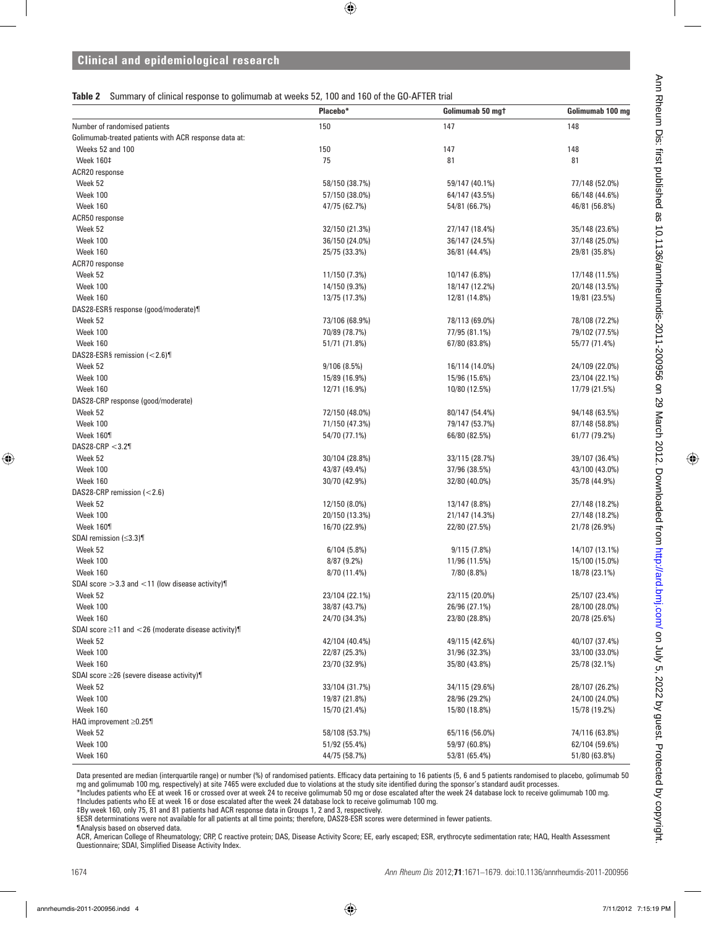**Table 2** Summary of clinical response to golimumab at weeks 52, 100 and 160 of the GO-AFTER trial

|                                                          | Placebo*       | Golimumab 50 mgt | Golimumab 100 mg |
|----------------------------------------------------------|----------------|------------------|------------------|
| Number of randomised patients                            | 150            | 147              | 148              |
| Golimumab-treated patients with ACR response data at:    |                |                  |                  |
| Weeks 52 and 100                                         | 150            | 147              | 148              |
| <b>Week 160‡</b>                                         | 75             | 81               | 81               |
| ACR20 response                                           |                |                  |                  |
| Week 52                                                  | 58/150 (38.7%) | 59/147 (40.1%)   | 77/148 (52.0%)   |
| Week 100                                                 | 57/150 (38.0%) | 64/147 (43.5%)   | 66/148 (44.6%)   |
| Week 160                                                 | 47/75 (62.7%)  | 54/81 (66.7%)    | 46/81 (56.8%)    |
| ACR50 response                                           |                |                  |                  |
| Week 52                                                  | 32/150 (21.3%) | 27/147 (18.4%)   | 35/148 (23.6%)   |
| Week 100                                                 | 36/150 (24.0%) | 36/147 (24.5%)   | 37/148 (25.0%)   |
| Week 160                                                 | 25/75 (33.3%)  | 36/81 (44.4%)    | 29/81 (35.8%)    |
| ACR70 response                                           |                |                  |                  |
| Week 52                                                  | 11/150 (7.3%)  | 10/147 (6.8%)    | 17/148 (11.5%)   |
| Week 100                                                 | 14/150 (9.3%)  | 18/147 (12.2%)   | 20/148 (13.5%)   |
| Week 160                                                 | 13/75 (17.3%)  | 12/81 (14.8%)    | 19/81 (23.5%)    |
| DAS28-ESR§ response (good/moderate)¶                     |                |                  |                  |
| Week 52                                                  | 73/106 (68.9%) | 78/113 (69.0%)   | 78/108 (72.2%)   |
| Week 100                                                 | 70/89 (78.7%)  | 77/95 (81.1%)    | 79/102 (77.5%)   |
| Week 160                                                 | 51/71 (71.8%)  | 67/80 (83.8%)    | 55/77 (71.4%)    |
| DAS28-ESR§ remission $\left($ < 2.6)                     |                |                  |                  |
| Week 52                                                  | 9/106(8.5%)    | 16/114 (14.0%)   | 24/109 (22.0%)   |
| Week 100                                                 | 15/89 (16.9%)  | 15/96 (15.6%)    | 23/104 (22.1%)   |
| Week 160                                                 | 12/71 (16.9%)  | 10/80 (12.5%)    | 17/79 (21.5%)    |
| DAS28-CRP response (good/moderate)                       |                |                  |                  |
| Week 52                                                  | 72/150 (48.0%) | 80/147 (54.4%)   | 94/148 (63.5%)   |
| Week 100                                                 | 71/150 (47.3%) | 79/147 (53.7%)   | 87/148 (58.8%)   |
| Week 160¶                                                | 54/70 (77.1%)  | 66/80 (82.5%)    | 61/77 (79.2%)    |
| DAS28-CRP $<$ 3.2¶                                       |                |                  |                  |
| Week 52                                                  | 30/104 (28.8%) | 33/115 (28.7%)   | 39/107 (36.4%)   |
| Week 100                                                 | 43/87 (49.4%)  | 37/96 (38.5%)    | 43/100 (43.0%)   |
| Week 160                                                 | 30/70 (42.9%)  | 32/80 (40.0%)    | 35/78 (44.9%)    |
| DAS28-CRP remission (<2.6)                               |                |                  |                  |
| Week 52                                                  | 12/150 (8.0%)  | 13/147 (8.8%)    | 27/148 (18.2%)   |
| Week 100                                                 | 20/150 (13.3%) | 21/147 (14.3%)   | 27/148 (18.2%)   |
| Week 160¶                                                | 16/70 (22.9%)  | 22/80 (27.5%)    | 21/78 (26.9%)    |
| SDAI remission $(\leq3.3)$                               |                |                  |                  |
| Week 52                                                  | 6/104(5.8%)    | 9/115(7.8%)      | 14/107 (13.1%)   |
| Week 100                                                 | $8/87(9.2\%)$  | 11/96 (11.5%)    | 15/100 (15.0%)   |
| Week 160                                                 | 8/70 (11.4%)   | 7/80(8.8%)       | 18/78 (23.1%)    |
| SDAI score $>3.3$ and $<$ 11 (low disease activity)      |                |                  |                  |
| Week 52                                                  | 23/104 (22.1%) | 23/115 (20.0%)   | 25/107 (23.4%)   |
| Week 100                                                 | 38/87 (43.7%)  | 26/96 (27.1%)    | 28/100 (28.0%)   |
| Week 160                                                 | 24/70 (34.3%)  | 23/80 (28.8%)    | 20/78 (25.6%)    |
| SDAI score $\geq$ 11 and <26 (moderate disease activity) |                |                  |                  |
| Week 52                                                  | 42/104 (40.4%) | 49/115 (42.6%)   | 40/107 (37.4%)   |
| Week 100                                                 | 22/87 (25.3%)  | 31/96 (32.3%)    | 33/100 (33.0%)   |
| Week 160                                                 | 23/70 (32.9%)  | 35/80 (43.8%)    | 25/78 (32.1%)    |
| SDAI score ≥26 (severe disease activity)¶                |                |                  |                  |
| Week 52                                                  | 33/104 (31.7%) | 34/115 (29.6%)   | 28/107 (26.2%)   |
| Week 100                                                 | 19/87 (21.8%)  | 28/96 (29.2%)    | 24/100 (24.0%)   |
| Week 160                                                 | 15/70 (21.4%)  | 15/80 (18.8%)    | 15/78 (19.2%)    |
| HAQ improvement ≥0.25¶                                   |                |                  |                  |
| Week 52                                                  | 58/108 (53.7%) | 65/116 (56.0%)   | 74/116 (63.8%)   |
| Week 100                                                 | 51/92 (55.4%)  | 59/97 (60.8%)    | 62/104 (59.6%)   |
| Week 160                                                 | 44/75 (58.7%)  | 53/81 (65.4%)    | 51/80 (63.8%)    |
|                                                          |                |                  |                  |

Data presented are median (interquartile range) or number (%) of randomised patients. Efficacy data pertaining to 16 patients (5, 6 and 5 patients randomised to placebo, golimumab 50 mg and golimumab 100 mg, respectively) at site 7465 were excluded due to violations at the study site identified during the sponsor's standard audit processes.

\*Includes patients who EE at week 16 or crossed over at week 24 to receive golimumab 50 mg or dose escalated after the week 24 database lock to receive golimumab 100 mg. †Includes patients who EE at week 16 or dose escalated after the week 24 database lock to receive golimumab 100 mg.

‡By week 160, only 75, 81 and 81 patients had ACR response data in Groups 1, 2 and 3, respectively.

§ESR determinations were not available for all patients at all time points; therefore, DAS28-ESR scores were determined in fewer patients.

¶Analysis based on observed data.

ACR, American College of Rheumatology; CRP, C reactive protein; DAS, Disease Activity Score; EE, early escaped; ESR, erythrocyte sedimentation rate; HAQ, Health Assessment Questionnaire; SDAI, Simplified Disease Activity Index.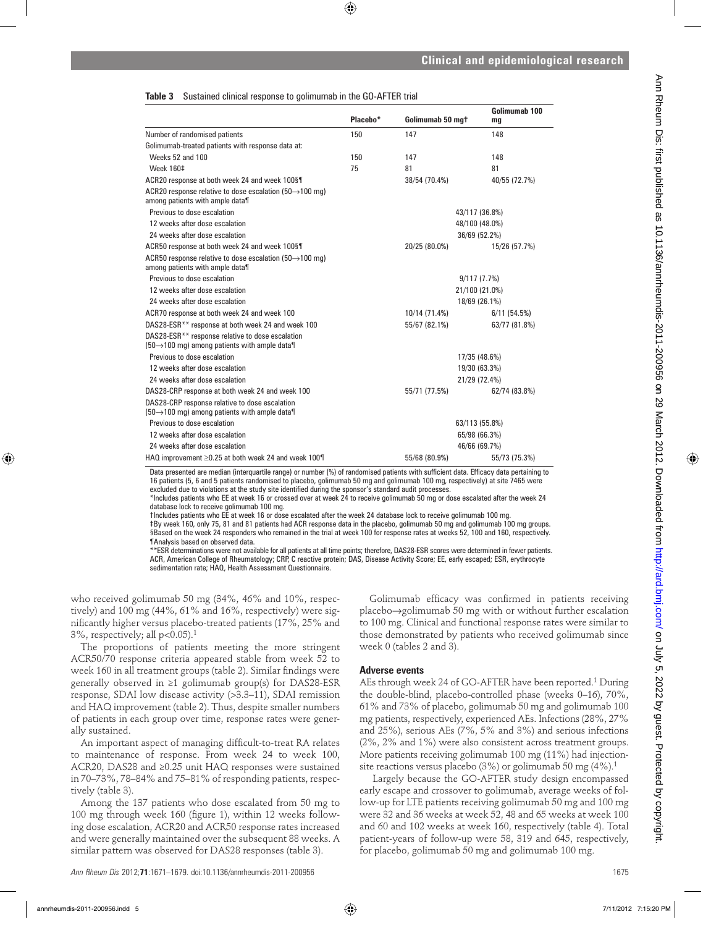#### **Table 3** Sustained clinical response to golimumab in the GO-AFTER trial

|                                                                                                                    |          |                  | Golimumab 100  |
|--------------------------------------------------------------------------------------------------------------------|----------|------------------|----------------|
|                                                                                                                    | Placebo* | Golimumab 50 mgt | mg             |
| Number of randomised patients                                                                                      | 150      | 147              | 148            |
| Golimumab-treated patients with response data at:                                                                  |          |                  |                |
| Weeks 52 and 100                                                                                                   | 150      | 147              | 148            |
| <b>Week 160‡</b>                                                                                                   | 75       | 81               | 81             |
| ACR20 response at both week 24 and week 100§¶                                                                      |          | 38/54 (70.4%)    | 40/55 (72.7%)  |
| ACR20 response relative to dose escalation (50 $\rightarrow$ 100 mg)<br>among patients with ample data¶            |          |                  |                |
| Previous to dose escalation                                                                                        |          |                  | 43/117 (36.8%) |
| 12 weeks after dose escalation                                                                                     |          |                  | 48/100 (48.0%) |
| 24 weeks after dose escalation                                                                                     |          |                  | 36/69 (52.2%)  |
| ACR50 response at both week 24 and week 100§¶                                                                      |          | 20/25 (80.0%)    | 15/26 (57.7%)  |
| ACR50 response relative to dose escalation (50 $\rightarrow$ 100 mg)<br>among patients with ample data¶            |          |                  |                |
| Previous to dose escalation                                                                                        |          |                  | 9/117(7.7%)    |
| 12 weeks after dose escalation                                                                                     |          |                  | 21/100 (21.0%) |
| 24 weeks after dose escalation                                                                                     |          |                  | 18/69 (26.1%)  |
| ACR70 response at both week 24 and week 100                                                                        |          | 10/14 (71.4%)    | 6/11(54.5%)    |
| DAS28-ESR** response at both week 24 and week 100                                                                  |          | 55/67 (82.1%)    | 63/77 (81.8%)  |
| DAS28-ESR** response relative to dose escalation<br>(50→100 mg) among patients with ample data¶                    |          |                  |                |
| Previous to dose escalation                                                                                        |          |                  | 17/35 (48.6%)  |
| 12 weeks after dose escalation                                                                                     |          |                  | 19/30 (63.3%)  |
| 24 weeks after dose escalation                                                                                     |          |                  | 21/29 (72.4%)  |
| DAS28-CRP response at both week 24 and week 100                                                                    |          | 55/71 (77.5%)    | 62/74 (83.8%)  |
| DAS28-CRP response relative to dose escalation<br>$(50 \rightarrow 100 \text{ mg})$ among patients with ample data |          |                  |                |
| Previous to dose escalation                                                                                        |          |                  | 63/113 (55.8%) |
| 12 weeks after dose escalation                                                                                     |          |                  | 65/98 (66.3%)  |
| 24 weeks after dose escalation                                                                                     |          |                  | 46/66 (69.7%)  |
| HAQ improvement $\geq$ 0.25 at both week 24 and week 100¶                                                          |          | 55/68 (80.9%)    | 55/73 (75.3%)  |

Data presented are median (interquartile range) or number (%) of randomised patients with sufficient data. Efficacy data pertaining to 16 patients (5, 6 and 5 patients randomised to placebo, golimumab 50 mg and golimumab 100 mg, respectively) at site 7465 were excluded due to violations at the study site identified during the sponsor's standard audit processes.

\*Includes patients who EE at week 16 or crossed over at week 24 to receive golimumab 50 mg or dose escalated after the week 24 database lock to receive golimumab 100 mg.

†Includes patients who EE at week 16 or dose escalated after the week 24 database lock to receive golimumab 100 mg.

‡By week 160, only 75, 81 and 81 patients had ACR response data in the placebo, golimumab 50 mg and golimumab 100 mg groups. §Based on the week 24 responders who remained in the trial at week 100 for response rates at weeks 52, 100 and 160, respectively. ¶Analysis based on observed data.

\*\*ESR determinations were not available for all patients at all time points; therefore, DAS28-ESR scores were determined in fewer patients. ACR, American College of Rheumatology; CRP, C reactive protein; DAS, Disease Activity Score; EE, early escaped; ESR, erythrocyte sedimentation rate; HAQ, Health Assessment Questionnaire.

who received golimumab 50 mg (34%, 46% and 10%, respectively) and 100 mg (44%, 61% and 16%, respectively) were significantly higher versus placebo-treated patients (17%, 25% and  $3\%$ , respectively; all p<0.05).<sup>1</sup>

The proportions of patients meeting the more stringent ACR50/70 response criteria appeared stable from week 52 to week 160 in all treatment groups (table 2). Similar findings were generally observed in ≥1 golimumab group(s) for DAS28-ESR response, SDAI low disease activity (>3.3–11), SDAI remission and HAQ improvement (table 2). Thus, despite smaller numbers of patients in each group over time, response rates were generally sustained.

An important aspect of managing difficult-to-treat RA relates to maintenance of response. From week 24 to week 100, ACR20, DAS28 and ≥0.25 unit HAQ responses were sustained in 70–73%, 78–84% and 75–81% of responding patients, respectively (table 3).

Among the 137 patients who dose escalated from 50 mg to 100 mg through week 160 (figure 1), within 12 weeks following dose escalation, ACR20 and ACR50 response rates increased and were generally maintained over the subsequent 88 weeks. A similar pattern was observed for DAS28 responses (table 3).

Golimumab efficacy was confirmed in patients receiving placebo→golimumab 50 mg with or without further escalation to 100 mg. Clinical and functional response rates were similar to those demonstrated by patients who received golimumab since week 0 (tables 2 and 3).

#### **Adverse events**

AEs through week 24 of GO-AFTER have been reported.1 During the double-blind, placebo-controlled phase (weeks 0–16), 70%, 61% and 73% of placebo, golimumab 50 mg and golimumab 100 mg patients, respectively, experienced AEs. Infections (28%, 27% and 25%), serious AEs (7%, 5% and 3%) and serious infections (2%, 2% and 1%) were also consistent across treatment groups. More patients receiving golimumab 100 mg (11%) had injectionsite reactions versus placebo  $(3\%)$  or golimumab 50 mg  $(4\%)$ .<sup>1</sup>

 Largely because the GO-AFTER study design encompassed early escape and crossover to golimumab, average weeks of follow-up for LTE patients receiving golimumab 50 mg and 100 mg were 32 and 36 weeks at week 52, 48 and 65 weeks at week 100 and 60 and 102 weeks at week 160, respectively (table 4). Total patient-years of follow-up were 58, 319 and 645, respectively, for placebo, golimumab 50 mg and golimumab 100 mg.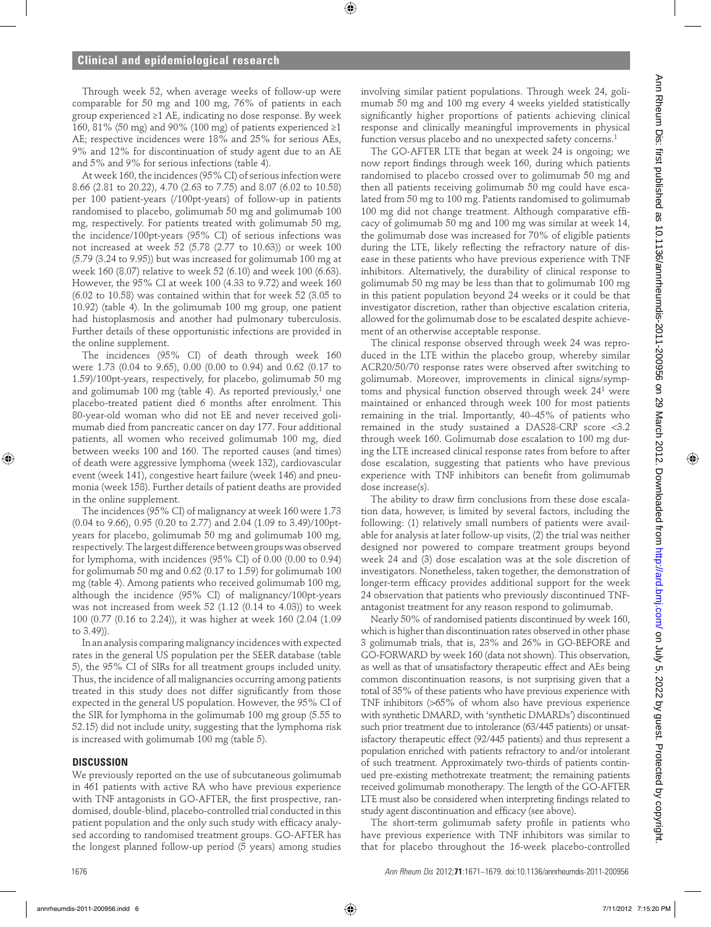Through week 52, when average weeks of follow-up were comparable for 50 mg and 100 mg, 76% of patients in each group experienced ≥1 AE, indicating no dose response. By week 160, 81% (50 mg) and 90% (100 mg) of patients experienced  $\geq$ 1 AE; respective incidences were 18% and 25% for serious AEs, 9% and 12% for discontinuation of study agent due to an AE and 5% and 9% for serious infections (table 4).

At week 160, the incidences (95% CI) of serious infection were 8.66 (2.81 to 20.22), 4.70 (2.63 to 7.75) and 8.07 (6.02 to 10.58) per 100 patient-years (/100pt-years) of follow-up in patients randomised to placebo, golimumab 50 mg and golimumab 100 mg, respectively. For patients treated with golimumab 50 mg, the incidence/100pt-years (95% CI) of serious infections was not increased at week 52 (5.78 (2.77 to 10.63)) or week 100 (5.79 (3.24 to 9.95)) but was increased for golimumab 100 mg at week 160 (8.07) relative to week 52 (6.10) and week 100 (6.63). However, the 95% CI at week 100 (4.33 to 9.72) and week 160 (6.02 to 10.58) was contained within that for week 52 (3.05 to 10.92) (table 4). In the golimumab 100 mg group, one patient had histoplasmosis and another had pulmonary tuberculosis. Further details of these opportunistic infections are provided in the online supplement.

The incidences (95% CI) of death through week 160 were 1.73 (0.04 to 9.65), 0.00 (0.00 to 0.94) and 0.62 (0.17 to 1.59)/100pt-years, respectively, for placebo, golimumab 50 mg and golimumab 100 mg (table 4). As reported previously,<sup>1</sup> one placebo-treated patient died 6 months after enrolment. This 80-year-old woman who did not EE and never received golimumab died from pancreatic cancer on day 177. Four additional patients, all women who received golimumab 100 mg, died between weeks 100 and 160. The reported causes (and times) of death were aggressive lymphoma (week 132), cardiovascular event (week 141), congestive heart failure (week 146) and pneumonia (week 158). Further details of patient deaths are provided in the online supplement.

The incidences (95% CI) of malignancy at week 160 were 1.73 (0.04 to 9.66), 0.95 (0.20 to 2.77) and 2.04 (1.09 to 3.49)/100ptyears for placebo, golimumab 50 mg and golimumab 100 mg, respectively. The largest difference between groups was observed for lymphoma, with incidences (95% CI) of 0.00 (0.00 to 0.94) for golimumab 50 mg and 0.62 (0.17 to 1.59) for golimumab 100 mg (table 4). Among patients who received golimumab 100 mg, although the incidence (95% CI) of malignancy/100pt-years was not increased from week 52 (1.12 (0.14 to 4.03)) to week 100 (0.77 (0.16 to 2.24)), it was higher at week 160 (2.04 (1.09 to 3.49)).

In an analysis comparing malignancy incidences with expected rates in the general US population per the SEER database (table 5), the 95% CI of SIRs for all treatment groups included unity. Thus, the incidence of all malignancies occurring among patients treated in this study does not differ significantly from those expected in the general US population. However, the 95% CI of the SIR for lymphoma in the golimumab 100 mg group (5.55 to 52.15) did not include unity, suggesting that the lymphoma risk is increased with golimumab 100 mg (table 5).

#### **DISCUSSION**

We previously reported on the use of subcutaneous golimumab in 461 patients with active RA who have previous experience with TNF antagonists in GO-AFTER, the first prospective, randomised, double-blind, placebo-controlled trial conducted in this patient population and the only such study with efficacy analysed according to randomised treatment groups. GO-AFTER has the longest planned follow-up period (5 years) among studies involving similar patient populations. Through week 24, golimumab 50 mg and 100 mg every 4 weeks yielded statistically significantly higher proportions of patients achieving clinical response and clinically meaningful improvements in physical function versus placebo and no unexpected safety concerns.<sup>1</sup>

The GO-AFTER LTE that began at week 24 is ongoing; we now report findings through week 160, during which patients randomised to placebo crossed over to golimumab 50 mg and then all patients receiving golimumab 50 mg could have escalated from 50 mg to 100 mg. Patients randomised to golimumab 100 mg did not change treatment. Although comparative efficacy of golimumab 50 mg and 100 mg was similar at week 14, the golimumab dose was increased for 70% of eligible patients during the LTE, likely reflecting the refractory nature of disease in these patients who have previous experience with TNF inhibitors. Alternatively, the durability of clinical response to golimumab 50 mg may be less than that to golimumab 100 mg in this patient population beyond 24 weeks or it could be that investigator discretion, rather than objective escalation criteria, allowed for the golimumab dose to be escalated despite achievement of an otherwise acceptable response.

The clinical response observed through week 24 was reproduced in the LTE within the placebo group, whereby similar ACR20/50/70 response rates were observed after switching to golimumab. Moreover, improvements in clinical signs/symptoms and physical function observed through week 241 were maintained or enhanced through week 100 for most patients remaining in the trial. Importantly, 40–45% of patients who remained in the study sustained a DAS28-CRP score <3.2 through week 160. Golimumab dose escalation to 100 mg during the LTE increased clinical response rates from before to after dose escalation, suggesting that patients who have previous experience with TNF inhibitors can benefit from golimumab dose increase(s).

The ability to draw firm conclusions from these dose escalation data, however, is limited by several factors, including the following: (1) relatively small numbers of patients were available for analysis at later follow-up visits, (2) the trial was neither designed nor powered to compare treatment groups beyond week 24 and (3) dose escalation was at the sole discretion of investigators. Nonetheless, taken together, the demonstration of longer-term efficacy provides additional support for the week 24 observation that patients who previously discontinued TNFantagonist treatment for any reason respond to golimumab.

Nearly 50% of randomised patients discontinued by week 160, which is higher than discontinuation rates observed in other phase 3 golimumab trials, that is, 23% and 26% in GO-BEFORE and GO-FORWARD by week 160 (data not shown). This observation, as well as that of unsatisfactory therapeutic effect and AEs being common discontinuation reasons, is not surprising given that a total of 35% of these patients who have previous experience with TNF inhibitors (>65% of whom also have previous experience with synthetic DMARD, with 'synthetic DMARDs') discontinued such prior treatment due to intolerance (63/445 patients) or unsatisfactory therapeutic effect (92/445 patients) and thus represent a population enriched with patients refractory to and/or intolerant of such treatment. Approximately two-thirds of patients continued pre-existing methotrexate treatment; the remaining patients received golimumab monotherapy. The length of the GO-AFTER LTE must also be considered when interpreting findings related to study agent discontinuation and efficacy (see above).

The short-term golimumab safety profile in patients who have previous experience with TNF inhibitors was similar to that for placebo throughout the 16-week placebo-controlled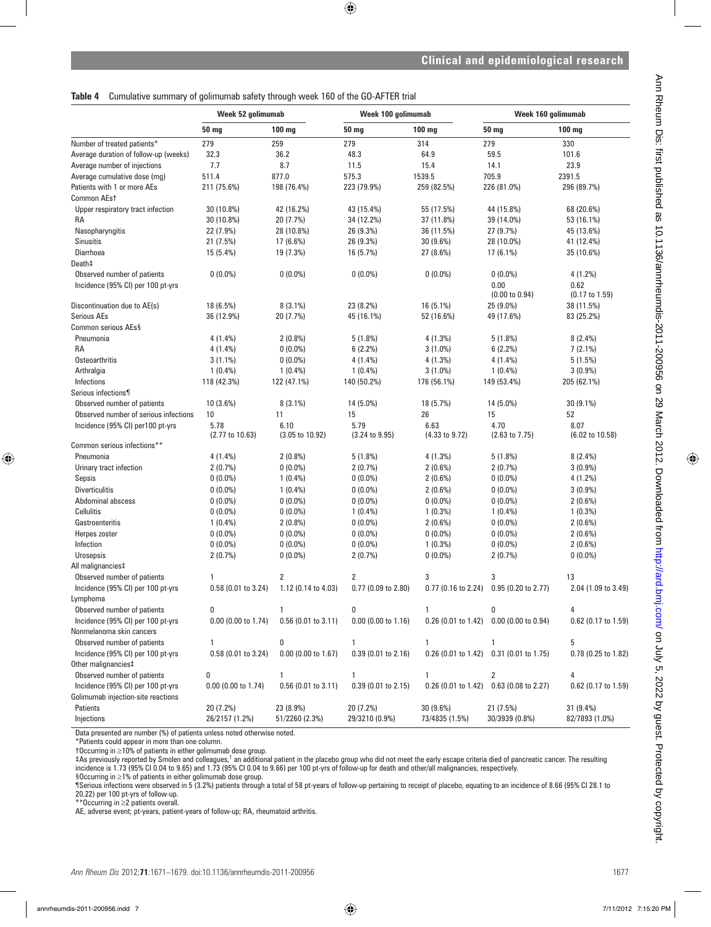**Table 4** Cumulative summary of golimumab safety through week 160 of the GO-AFTER trial

|                                                                         | Week 52 golimumab       |                                    | Week 100 golimumab                |                        | Week 160 golimumab                      |                                   |
|-------------------------------------------------------------------------|-------------------------|------------------------------------|-----------------------------------|------------------------|-----------------------------------------|-----------------------------------|
|                                                                         | 50 mg                   | $100$ mg                           | 50 mg                             | 100 mg                 | 50 mg                                   | $100$ mg                          |
| Number of treated patients*                                             | 279                     | 259                                | 279                               | 314                    | 279                                     | 330                               |
| Average duration of follow-up (weeks)                                   | 32.3                    | 36.2                               | 48.3                              | 64.9                   | 59.5                                    | 101.6                             |
| Average number of injections                                            | 7.7                     | 8.7                                | 11.5                              | 15.4                   | 14.1                                    | 23.9                              |
| Average cumulative dose (mg)                                            | 511.4                   | 877.0                              | 575.3                             | 1539.5                 | 705.9                                   | 2391.5                            |
| Patients with 1 or more AEs                                             | 211 (75.6%)             | 198 (76.4%)                        | 223 (79.9%)                       | 259 (82.5%)            | 226 (81.0%)                             | 296 (89.7%)                       |
| Common AEst                                                             |                         |                                    |                                   |                        |                                         |                                   |
| Upper respiratory tract infection                                       | 30 (10.8%)              | 42 (16.2%)                         | 43 (15.4%)                        | 55 (17.5%)             | 44 (15.8%)                              | 68 (20.6%)                        |
| RA                                                                      | 30 (10.8%)              | 20 (7.7%)                          | 34 (12.2%)                        | 37 (11.8%)             | 39 (14.0%)                              | 53 (16.1%)                        |
| Nasopharyngitis                                                         | 22 (7.9%)               | 28 (10.8%)                         | 26 (9.3%)                         | 36 (11.5%)             | 27 (9.7%)                               | 45 (13.6%)                        |
| <b>Sinusitis</b>                                                        | 21 (7.5%)               | 17 (6.6%)                          | 26 (9.3%)                         | 30 (9.6%)              | 28 (10.0%)                              | 41 (12.4%)                        |
| Diarrhoea                                                               | 15 (5.4%)               | 19 (7.3%)                          | 16 (5.7%)                         | 27 (8.6%)              | 17 (6.1%)                               | 35 (10.6%)                        |
| Death‡                                                                  |                         |                                    |                                   |                        |                                         |                                   |
| Observed number of patients                                             | $0(0.0\%)$              | $0(0.0\%)$                         | $0(0.0\%)$                        | $0(0.0\%)$             | $0(0.0\%)$                              | 4(1.2%)                           |
| Incidence (95% CI) per 100 pt-yrs                                       |                         |                                    |                                   |                        | 0.00<br>$(0.00 \text{ to } 0.94)$       | 0.62<br>$(0.17 \text{ to } 1.59)$ |
| Discontinuation due to AE(s)                                            | 18 (6.5%)               | $8(3.1\%)$                         | 23 (8.2%)                         | 16 (5.1%)              | 25 (9.0%)                               | 38 (11.5%)                        |
| <b>Serious AEs</b>                                                      | 36 (12.9%)              | 20 (7.7%)                          | 45 (16.1%)                        | 52 (16.6%)             | 49 (17.6%)                              | 83 (25.2%)                        |
| Common serious AEs§                                                     |                         |                                    |                                   |                        |                                         |                                   |
| Pneumonia                                                               | 4 (1.4%)                | $2(0.8\%)$                         | 5(1.8%)                           | 4(1.3%)                | 5(1.8%)                                 | $8(2.4\%)$                        |
| RA                                                                      | 4 (1.4%)                | $0(0.0\%)$                         | 6(2.2%)                           | $3(1.0\%)$             | 6(2.2%)                                 | $7(2.1\%)$                        |
| <b>Osteoarthritis</b>                                                   | $3(1.1\%)$              | $0(0.0\%)$                         | $4(1.4\%)$                        | $4(1.3\%)$             | $4(1.4\%)$                              | 5(1.5%)                           |
| Arthralgia                                                              | $1(0.4\%)$              | $1(0.4\%)$                         | $1(0.4\%)$                        | $3(1.0\%)$             | $1(0.4\%)$                              | $3(0.9\%)$                        |
| Infections                                                              | 118 (42.3%)             | 122 (47.1%)                        |                                   | 176 (56.1%)            | 149 (53.4%)                             | 205 (62.1%)                       |
| Serious infections¶                                                     |                         |                                    | 140 (50.2%)                       |                        |                                         |                                   |
|                                                                         |                         |                                    |                                   |                        |                                         |                                   |
| Observed number of patients<br>Observed number of serious infections    | 10 (3.6%)               | $8(3.1\%)$                         | 14 (5.0%)                         | 18 (5.7%)              | 14 (5.0%)                               | 30 (9.1%)                         |
|                                                                         | 10                      | 11                                 | 15                                | 26                     | 15                                      | 52                                |
| Incidence (95% CI) per100 pt-yrs                                        | 5.78<br>(2.77 to 10.63) | 6.10<br>$(3.05 \text{ to } 10.92)$ | 5.79<br>$(3.24 \text{ to } 9.95)$ | 6.63<br>(4.33 to 9.72) | 4.70<br>$(2.63 \text{ to } 7.75)$       | 8.07<br>(6.02 to 10.58)           |
| Common serious infections**                                             |                         |                                    |                                   |                        |                                         |                                   |
| Pneumonia                                                               | 4 (1.4%)                | $2(0.8\%)$                         | 5(1.8%)                           | 4(1.3%)                | 5(1.8%)                                 | $8(2.4\%)$                        |
| Urinary tract infection                                                 | 2(0.7%)                 | $0(0.0\%)$                         | 2(0.7%)                           | $2(0.6\%)$             | 2(0.7%)                                 | $3(0.9\%)$                        |
| Sepsis                                                                  | $0(0.0\%)$              | $1(0.4\%)$                         | $0(0.0\%)$                        | $2(0.6\%)$             | $0(0.0\%)$                              | 4 (1.2%)                          |
| <b>Diverticulitis</b>                                                   | $0(0.0\%)$              | $1(0.4\%)$                         | $0(0.0\%)$                        | $2(0.6\%)$             | $0(0.0\%)$                              | $3(0.9\%)$                        |
| Abdominal abscess                                                       | $0(0.0\%)$              | $0(0.0\%)$                         | $0(0.0\%)$                        | $0(0.0\%)$             | $0(0.0\%)$                              | $2(0.6\%)$                        |
| Cellulitis                                                              | $0(0.0\%)$              | $0(0.0\%)$                         | $1(0.4\%)$                        | $1(0.3\%)$             | $1(0.4\%)$                              | $1(0.3\%)$                        |
| Gastroenteritis                                                         | $1(0.4\%)$              | $2(0.8\%)$                         | $0(0.0\%)$                        | $2(0.6\%)$             | $0(0.0\%)$                              | $2(0.6\%)$                        |
| Herpes zoster                                                           | $0(0.0\%)$              | $0(0.0\%)$                         | $0(0.0\%)$                        | $0(0.0\%)$             | $0(0.0\%)$                              | $2(0.6\%)$                        |
| Infection                                                               | $0(0.0\%)$              | $0(0.0\%)$                         | $0(0.0\%)$                        | $1(0.3\%)$             | $0(0.0\%)$                              | $2(0.6\%)$                        |
| Urosepsis                                                               | 2(0.7%)                 | $0(0.0\%)$                         | 2(0.7%)                           | $0(0.0\%)$             | 2(0.7%)                                 | $0(0.0\%)$                        |
| All malignancies‡                                                       |                         |                                    |                                   |                        |                                         |                                   |
| Observed number of patients                                             | 1                       | 2                                  | 2                                 | 3                      | 3                                       | 13                                |
| Incidence (95% CI) per 100 pt-yrs                                       | 0.58 (0.01 to 3.24)     | 1.12 (0.14 to 4.03)                | 0.77 (0.09 to 2.80)               |                        | 0.77 (0.16 to 2.24) 0.95 (0.20 to 2.77) | 2.04 (1.09 to 3.49)               |
| Lymphoma                                                                |                         |                                    |                                   |                        |                                         |                                   |
| Observed number of patients                                             | 0                       | 1                                  | 0                                 | 1                      | 0                                       | 4                                 |
| Incidence (95% CI) per 100 pt-yrs                                       | 0.00 (0.00 to 1.74)     | $0.56$ (0.01 to 3.11)              | $0.00$ (0.00 to 1.16)             | $0.26$ (0.01 to 1.42)  | $0.00$ (0.00 to 0.94)                   | 0.62 (0.17 to 1.59)               |
| Nonmelanoma skin cancers                                                |                         |                                    |                                   |                        |                                         |                                   |
| Observed number of patients                                             | $\mathbf{1}$            | 0                                  | 1                                 | $\mathbf{1}$           | $\mathbf{1}$                            | 5                                 |
| Incidence (95% CI) per 100 pt-yrs                                       | 0.58 (0.01 to 3.24)     | 0.00 (0.00 to 1.67)                | 0.39 (0.01 to 2.16)               | $0.26$ (0.01 to 1.42)  | 0.31 (0.01 to 1.75)                     | 0.78 (0.25 to 1.82)               |
| Other malignancies‡                                                     |                         |                                    |                                   |                        |                                         |                                   |
| Observed number of patients                                             | 0                       | 1                                  | 1                                 | $\mathbf{1}$           | 2                                       | 4                                 |
| Incidence (95% CI) per 100 pt-yrs<br>Golimumab injection-site reactions | $0.00$ (0.00 to 1.74)   | $0.56$ (0.01 to 3.11)              | $0.39$ (0.01 to 2.15)             | $0.26$ (0.01 to 1.42)  | 0.63 (0.08 to 2.27)                     | 0.62 (0.17 to 1.59)               |
| Patients                                                                | 20 (7.2%)               | 23 (8.9%)                          | 20 (7.2%)                         | 30(9.6%)               | 21 (7.5%)                               | 31 (9.4%)                         |
| Injections                                                              | 26/2157 (1.2%)          | 51/2260 (2.3%)                     | 29/3210 (0.9%)                    | 73/4835 (1.5%)         | 30/3939 (0.8%)                          | 82/7893 (1.0%)                    |

Data presented are number (%) of patients unless noted otherwise noted.

\*Patients could appear in more than one column.

†Occurring in ≥10% of patients in either golimumab dose group.<br>‡As previously reported by Smolen and colleagues,<sup>1</sup> an additional patient in the placebo group who did not meet the early escape criteria died of pancreatic

§Occurring in ≥1% of patients in either golimumab dose group.

¶Serious infections were observed in 5 (3.2%) patients through a total of 58 pt-years of follow-up pertaining to receipt of placebo, equating to an incidence of 8.66 (95% CI 28.1 to 20.22) per 100 pt-yrs of follow-up.

\*\*Occurring in ≥2 patients overall.

AE, adverse event; pt-years, patient-years of follow-up; RA, rheumatoid arthritis.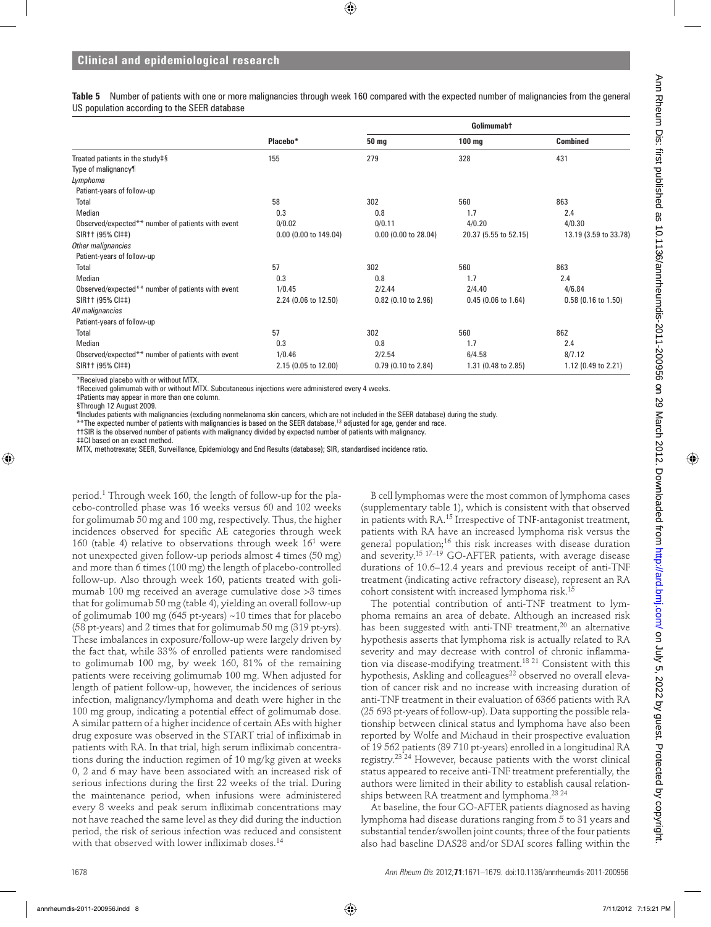**Table 5** Number of patients with one or more malignancies through week 160 compared with the expected number of malignancies from the general US population according to the SEER database

|                                                   |                       | Golimumab†             |                       |                       |  |
|---------------------------------------------------|-----------------------|------------------------|-----------------------|-----------------------|--|
|                                                   | Placebo*              | 50 mg                  | $100 \text{ mg}$      | <b>Combined</b>       |  |
| Treated patients in the study#§                   | 155                   | 279                    | 328                   | 431                   |  |
| Type of malignancy¶                               |                       |                        |                       |                       |  |
| Lymphoma                                          |                       |                        |                       |                       |  |
| Patient-years of follow-up                        |                       |                        |                       |                       |  |
| Total                                             | 58                    | 302                    | 560                   | 863                   |  |
| Median                                            | 0.3                   | 0.8                    | 1.7                   | 2.4                   |  |
| Observed/expected** number of patients with event | 0/0.02                | 0/0.11                 | 4/0.20                | 4/0.30                |  |
| SIR11 (95% CI##)                                  | 0.00 (0.00 to 149.04) | $0.00$ (0.00 to 28.04) | 20.37 (5.55 to 52.15) | 13.19 (3.59 to 33.78) |  |
| Other malignancies                                |                       |                        |                       |                       |  |
| Patient-years of follow-up                        |                       |                        |                       |                       |  |
| Total                                             | 57                    | 302                    | 560                   | 863                   |  |
| Median                                            | 0.3                   | 0.8                    | 1.7                   | 2.4                   |  |
| Observed/expected** number of patients with event | 1/0.45                | 2/2.44                 | 2/4.40                | 4/6.84                |  |
| SIR++ (95% CI##)                                  | 2.24 (0.06 to 12.50)  | $0.82$ (0.10 to 2.96)  | $0.45$ (0.06 to 1.64) | $0.58$ (0.16 to 1.50) |  |
| All malignancies                                  |                       |                        |                       |                       |  |
| Patient-years of follow-up                        |                       |                        |                       |                       |  |
| Total                                             | 57                    | 302                    | 560                   | 862                   |  |
| Median                                            | 0.3                   | 0.8                    | 1.7                   | 2.4                   |  |
| Observed/expected** number of patients with event | 1/0.46                | 2/2.54                 | 6/4.58                | 8/7.12                |  |
| SIR++ (95% CI##)                                  | 2.15 (0.05 to 12.00)  | $0.79$ (0.10 to 2.84)  | 1.31 (0.48 to 2.85)   | 1.12 (0.49 to 2.21)   |  |

\*Received placebo with or without MTX.

†Received golimumab with or without MTX. Subcutaneous injections were administered every 4 weeks.

‡Patients may appear in more than one column.

§Through 12 August 2009.

¶Includes patients with malignancies (excluding nonmelanoma skin cancers, which are not included in the SEER database) during the study.<br>\*\*The expected number of patients with malignancies is based on the SEER database,<sup>13</sup>

††SIR is the observed number of patients with malignancy divided by expected number of patients with malignancy.

‡‡CI based on an exact method.

MTX, methotrexate; SEER, Surveillance, Epidemiology and End Results (database); SIR, standardised incidence ratio.

period.1 Through week 160, the length of follow-up for the placebo-controlled phase was 16 weeks versus 60 and 102 weeks for golimumab 50 mg and 100 mg, respectively. Thus, the higher incidences observed for specific AE categories through week 160 (table 4) relative to observations through week  $16<sup>1</sup>$  were not unexpected given follow-up periods almost 4 times (50 mg) and more than 6 times (100 mg) the length of placebo-controlled follow-up. Also through week 160, patients treated with golimumab 100 mg received an average cumulative dose >3 times that for golimumab 50 mg (table 4), yielding an overall follow-up of golimumab 100 mg (645 pt-years) ~10 times that for placebo (58 pt-years) and 2 times that for golimumab 50 mg (319 pt-yrs). These imbalances in exposure/follow-up were largely driven by the fact that, while 33% of enrolled patients were randomised to golimumab 100 mg, by week 160, 81% of the remaining patients were receiving golimumab 100 mg. When adjusted for length of patient follow-up, however, the incidences of serious infection, malignancy/lymphoma and death were higher in the 100 mg group, indicating a potential effect of golimumab dose. A similar pattern of a higher incidence of certain AEs with higher drug exposure was observed in the START trial of infliximab in patients with RA. In that trial, high serum infliximab concentrations during the induction regimen of 10 mg/kg given at weeks 0, 2 and 6 may have been associated with an increased risk of serious infections during the first 22 weeks of the trial. During the maintenance period, when infusions were administered every 8 weeks and peak serum infliximab concentrations may not have reached the same level as they did during the induction period, the risk of serious infection was reduced and consistent with that observed with lower infliximab doses.<sup>14</sup>

B cell lymphomas were the most common of lymphoma cases (supplementary table 1), which is consistent with that observed in patients with RA.15 Irrespective of TNF-antagonist treatment, patients with RA have an increased lymphoma risk versus the general population;16 this risk increases with disease duration and severity.<sup>15 17-19</sup> GO-AFTER patients, with average disease durations of 10.6–12.4 years and previous receipt of anti-TNF treatment (indicating active refractory disease), represent an RA cohort consistent with increased lymphoma risk.15

The potential contribution of anti-TNF treatment to lymphoma remains an area of debate. Although an increased risk has been suggested with anti-TNF treatment,<sup>20</sup> an alternative hypothesis asserts that lymphoma risk is actually related to RA severity and may decrease with control of chronic inflammation via disease-modifying treatment.<sup>18 21</sup> Consistent with this hypothesis, Askling and colleagues<sup>22</sup> observed no overall elevation of cancer risk and no increase with increasing duration of anti-TNF treatment in their evaluation of 6366 patients with RA (25 693 pt-years of follow-up). Data supporting the possible relationship between clinical status and lymphoma have also been reported by Wolfe and Michaud in their prospective evaluation of 19 562 patients (89 710 pt-years) enrolled in a longitudinal RA registry.23 24 However, because patients with the worst clinical status appeared to receive anti-TNF treatment preferentially, the authors were limited in their ability to establish causal relationships between RA treatment and lymphoma.<sup>23 24</sup>

At baseline, the four GO-AFTER patients diagnosed as having lymphoma had disease durations ranging from 5 to 31 years and substantial tender/swollen joint counts; three of the four patients also had baseline DAS28 and/or SDAI scores falling within the